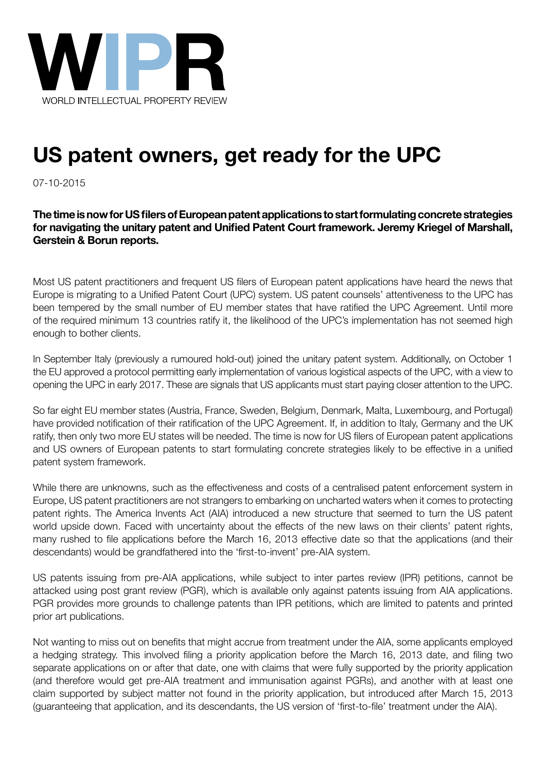

# US patent owners, get ready for the UPC

**businesses** 07-10-2015

for navigating the unitary patent and Unified Patent Court framework. Jeremy Kriegel of Marshall,<br>Corstein & Borun reports what they perform they will be a problem,  $\alpha$  is more number to  $\alpha$  about which will be truth is more number of the truth is more number of the truth is more number of the truth is more number of the truth is more number **The time is now for US filers of European patent applications to start formulating concrete strategies Gerstein & Borun reports.**

Most US patent practitioners and frequent US filers of European patent applications have heard the news that Europe is migrating to a Unified Patent Court (UPC) system. US patent counsels' attentiveness to the UPC has been tempered by the small number of EU member states that have ratified the UPC Agreement. Until more of the required minimum 13 countries ratify it, the likelihood of the UPC's implementation has not seemed high enough to bother clients. Most US patent practitioners and frequent US filers of European patent applications have heard the news that<br>Europe is migrating to a Unified Patent Court (UPC) system. US patent counsels' attentiveness to the UPC has<br>been

In September Italy (previously a rumoured hold-out) joined the unitary patent system. Additionally, on October 1<br>the EU approved a protocol permitting early implementation of various logistical aspects of the UPC, with a v the EU approved a protocol permitting early implementation of various logistical aspects of the UPC, with a view to opening the UPC in early 2017. These are signals that US applicants must start paying closer attention to the UPC.

So far eight EU member states (Austria, France, Sweden, Belgium, Denmark, Malta, Luxembourg, and Portugal) have provided notification of their ratification of the UPC Agreement. If, in addition to Italy, Germany and the UK ratify, then only two more EU states will be needed. The time is now for US filers of European patent applications and US owners of European patents to start formulating concrete strategies likely to be effective in a unified patent system framework. So far eight EU member states (Austria, France, Sweden, Belgium, Denmark, Malta, Luxembourg, and Portugal) have provided notification of their ratification of the UPC Agreement. If, in addition to Italy, Germany and the UK

While there are unknowns, such as the effectiveness and costs of a centralised patent enforcement system in Europe, US patent practitioners are not strangers to embarking on uncharted waters when it comes to protecting patent rights. The America Invents Act (AIA) introduced a new structure that seemed to turn the US patent world upside down. Faced with uncertainty about the effects of the new laws on their clients' patent rights, many rushed to file applications before the March 16, 2013 effective date so that the applications (and their descendants) would be grandfathered into the 'first-to-invent' pre-AIA system. While there are unknowns, such as the effectiveness and costs of a centralised patent enforcement system in<br>Europe, US patent practitioners are not strangers to embarking on uncharted waters when it comes to protecting<br>pat

US patents issuing from pre-AIA applications, while subject to inter partes review (IPR) petitions, cannot be attacked using post grant review (PGR), which is available only against patents issuing from AIA applications. US patents issuing from pre-AIA applications, while subject to inter partes review (IPR) petitions, cannot be<br>attacked using post grant review (PGR), which is available only against patents issuing from AIA applications.<br>P on that functions. The answer is the answer it. For many, the same is the same is the same in the same is the same is the same is the same in the same is the same in the same is the same in the same in the same in the same

a hedging strategy. This involved filing a priority application before the March 16, 2013 date, and filing two separate applications on or after that date, one with claims that were fully supported by the priority application (and therefore would get pre-AIA treatment and immunisation against PGRs), and another with at least one claim supported by subject matter not found in the priority application, but introduced after March 15, 2013 (quaranteeing that application, and its descendants, the US version of 'first-to-file' treatment under the AIA). Not wanting to miss out on benefits that might accrue from treatment under the AIA, some applicants employed a hedging strategy. This involved filing a priority application before the March 16, 2013 date, and filing two<br>separate applications on or after that date, one with claims that were fully supported by the priority applicat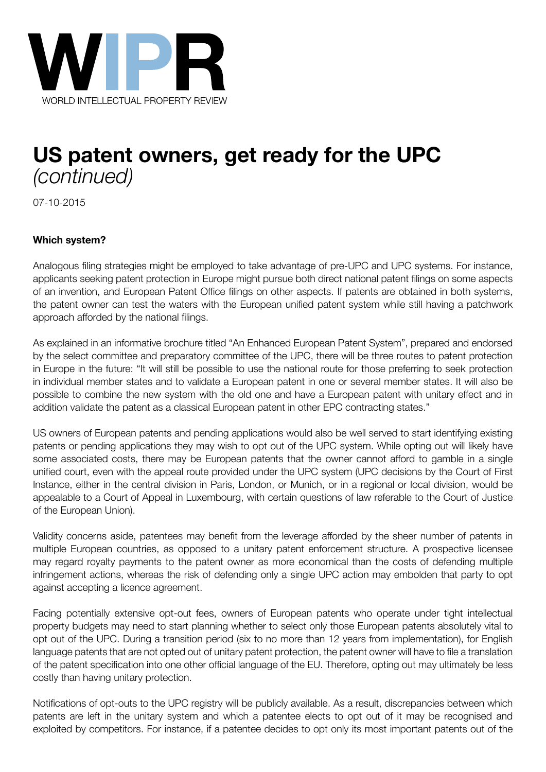

## US patent owners, get ready for the UPC **businesses** *(continued)*

01-02-2014 07-10-2015

#### **As non-practising entities continue to make headlines, and lawmakers wrestle with solutions to which system?**<br> *Problem, and the truth is more number why the truth is more number why the truth is more number why the truth is more number why the truth is more number why the truth is more number why the truth is mor*

applicants seeking patent protection in Europe might pursue both direct national patent filings on some aspects of an invention, and European Patent Office filings on other aspects. If patents are obtained in both systems, the patent owner can test the waters with the European unified patent system while still having a patchwork approach afforded by the national filings. Analogous filing strategies might be employed to take advantage of pre-UPC and UPC systems. For instance,

by the select committee and preparatory committee of the UPC, there will be three routes to patent protection in Europe in the future: "It will still be possible to use the national route for those preferring to seek protection in individual member states and to validate a European patent in one or several member states. It will also be addition validate the patent as a classical European patent in other EPC contracting states." As explained in an informative brochure titled "An Enhanced European Patent System", prepared and endorsed possible to combine the new system with the old one and have a European patent with unitary effect and in

US owners of European patents and pending applications would also be well served to start identifying existing patents or pending applications they may wish to opt out of the UPC system. While opting out will likely have some associated costs, there may be European patents that the owner cannot afford to gamble in a single Instance, either in the central division in Paris, London, or Munich, or in a regional or local division, would be appealable to a Court of Appeal in Luxembourg, with certain questions of law referable to the Court of Justice of the European Union). There is a commercial incentive for innovators. University for innovators. University for innovators. University for innovators. University for innovators. University for innovators. University for unified court, even with the appeal route provided under the UPC system (UPC decisions by the Court of First

Validity concerns aside, patentees may benefit from the leverage afforded by the sheer number of patents in multiple European countries, as opposed to a unitary patent enforcement structure. A prospective licensee infringement actions, whereas the risk of defending only a single UPC action may embolden that party to opt against accepting a licence agreement. may regard royalty payments to the patent owner as more economical than the costs of defending multiple

Facing potentially extensive opt-out fees, owners of European patents who operate under tight intellectual property budgets may need to start planning whether to select only those European patents absolutely vital to language patents that are not opted out of unitary patent protection, the patent owner will have to file a translation of the patent specification into one other official language of the EU. Therefore, opting out may ultimately be less costly than having unitary protection. opt out of the UPC. During a transition period (six to no more than 12 years from implementation), for English

Notifications of opt-outs to the UPC registry will be publicly available. As a result, discrepancies between which patents are left in the unitary system and which a patentee elects to opt out of it may be recognised and exploited by competitors. For instance, if a patentee decides to opt only its most important patents out of the